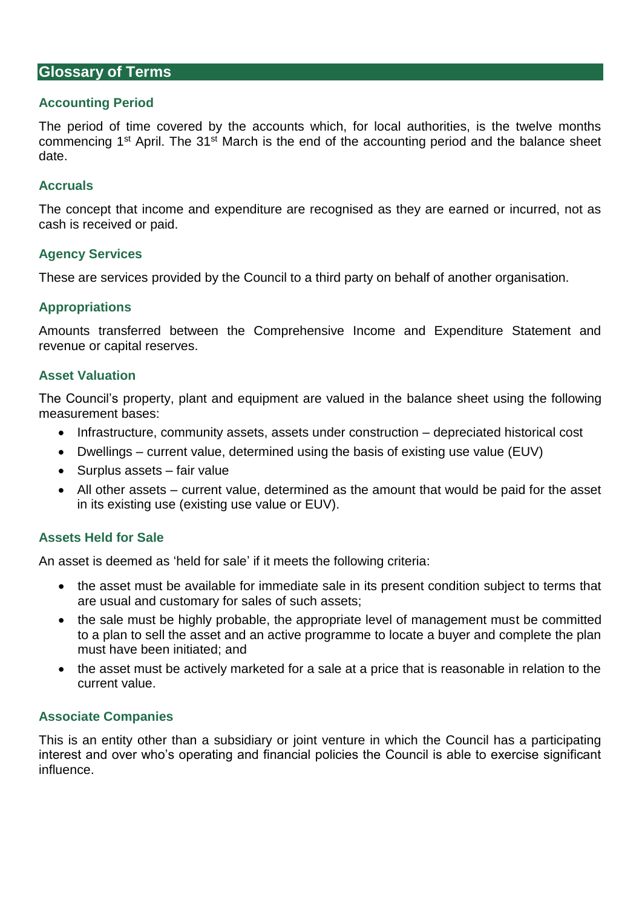## **Glossary of Terms**

#### **Accounting Period**

The period of time covered by the accounts which, for local authorities, is the twelve months commencing 1<sup>st</sup> April. The 31<sup>st</sup> March is the end of the accounting period and the balance sheet date.

#### **Accruals**

The concept that income and expenditure are recognised as they are earned or incurred, not as cash is received or paid.

#### **Agency Services**

These are services provided by the Council to a third party on behalf of another organisation.

## **Appropriations**

Amounts transferred between the Comprehensive Income and Expenditure Statement and revenue or capital reserves.

#### **Asset Valuation**

The Council's property, plant and equipment are valued in the balance sheet using the following measurement bases:

- Infrastructure, community assets, assets under construction depreciated historical cost
- Dwellings current value, determined using the basis of existing use value (EUV)
- Surplus assets fair value
- All other assets current value, determined as the amount that would be paid for the asset in its existing use (existing use value or EUV).

## **Assets Held for Sale**

An asset is deemed as 'held for sale' if it meets the following criteria:

- the asset must be available for immediate sale in its present condition subject to terms that are usual and customary for sales of such assets;
- the sale must be highly probable, the appropriate level of management must be committed to a plan to sell the asset and an active programme to locate a buyer and complete the plan must have been initiated; and
- the asset must be actively marketed for a sale at a price that is reasonable in relation to the current value.

#### **Associate Companies**

This is an entity other than a subsidiary or joint venture in which the Council has a participating interest and over who's operating and financial policies the Council is able to exercise significant influence.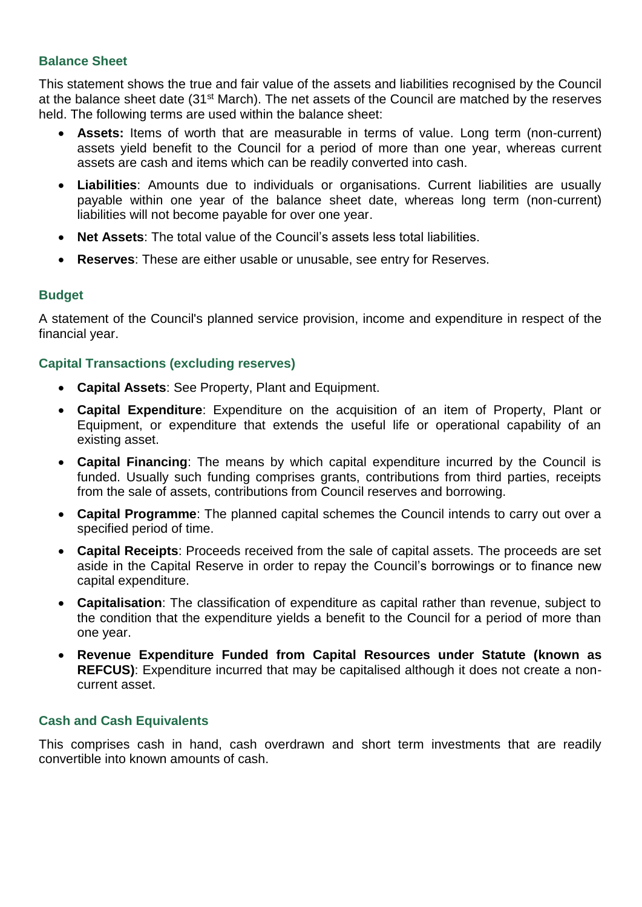# **Balance Sheet**

This statement shows the true and fair value of the assets and liabilities recognised by the Council at the balance sheet date (31<sup>st</sup> March). The net assets of the Council are matched by the reserves held. The following terms are used within the balance sheet:

- **Assets:** Items of worth that are measurable in terms of value. Long term (non-current) assets yield benefit to the Council for a period of more than one year, whereas current assets are cash and items which can be readily converted into cash.
- **Liabilities**: Amounts due to individuals or organisations. Current liabilities are usually payable within one year of the balance sheet date, whereas long term (non-current) liabilities will not become payable for over one year.
- **Net Assets**: The total value of the Council's assets less total liabilities.
- **Reserves**: These are either usable or unusable, see entry for Reserves.

# **Budget**

A statement of the Council's planned service provision, income and expenditure in respect of the financial year.

# **Capital Transactions (excluding reserves)**

- **Capital Assets**: See Property, Plant and Equipment.
- **Capital Expenditure**: Expenditure on the acquisition of an item of Property, Plant or Equipment, or expenditure that extends the useful life or operational capability of an existing asset.
- **Capital Financing**: The means by which capital expenditure incurred by the Council is funded. Usually such funding comprises grants, contributions from third parties, receipts from the sale of assets, contributions from Council reserves and borrowing.
- **Capital Programme**: The planned capital schemes the Council intends to carry out over a specified period of time.
- **Capital Receipts**: Proceeds received from the sale of capital assets. The proceeds are set aside in the Capital Reserve in order to repay the Council's borrowings or to finance new capital expenditure.
- **Capitalisation**: The classification of expenditure as capital rather than revenue, subject to the condition that the expenditure yields a benefit to the Council for a period of more than one year.
- **Revenue Expenditure Funded from Capital Resources under Statute (known as REFCUS)**: Expenditure incurred that may be capitalised although it does not create a noncurrent asset.

## **Cash and Cash Equivalents**

This comprises cash in hand, cash overdrawn and short term investments that are readily convertible into known amounts of cash.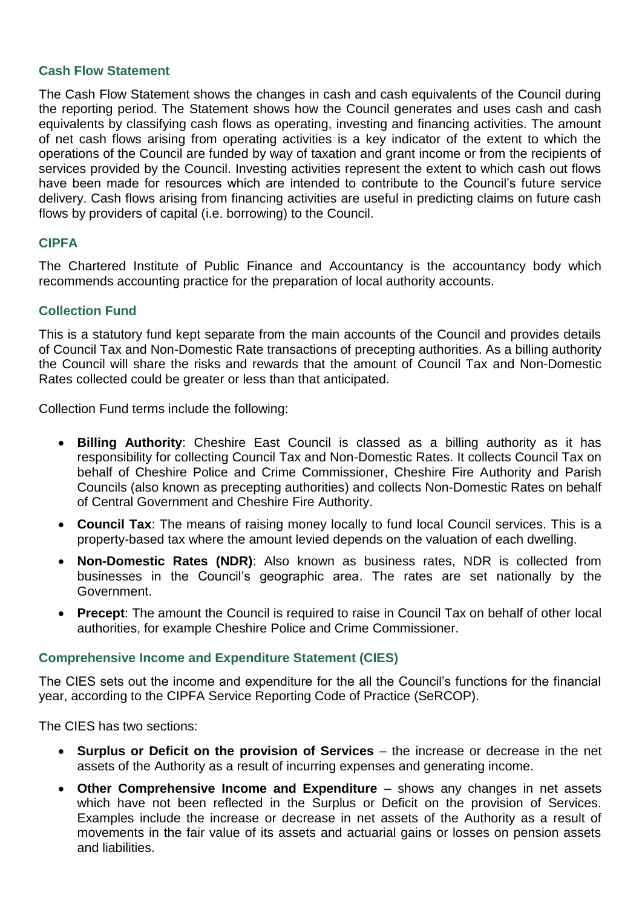## **Cash Flow Statement**

The Cash Flow Statement shows the changes in cash and cash equivalents of the Council during the reporting period. The Statement shows how the Council generates and uses cash and cash equivalents by classifying cash flows as operating, investing and financing activities. The amount of net cash flows arising from operating activities is a key indicator of the extent to which the operations of the Council are funded by way of taxation and grant income or from the recipients of services provided by the Council. Investing activities represent the extent to which cash out flows have been made for resources which are intended to contribute to the Council's future service delivery. Cash flows arising from financing activities are useful in predicting claims on future cash flows by providers of capital (i.e. borrowing) to the Council.

# **CIPFA**

The Chartered Institute of Public Finance and Accountancy is the accountancy body which recommends accounting practice for the preparation of local authority accounts.

## **Collection Fund**

This is a statutory fund kept separate from the main accounts of the Council and provides details of Council Tax and Non-Domestic Rate transactions of precepting authorities. As a billing authority the Council will share the risks and rewards that the amount of Council Tax and Non-Domestic Rates collected could be greater or less than that anticipated.

Collection Fund terms include the following:

- **Billing Authority**: Cheshire East Council is classed as a billing authority as it has responsibility for collecting Council Tax and Non-Domestic Rates. It collects Council Tax on behalf of Cheshire Police and Crime Commissioner, Cheshire Fire Authority and Parish Councils (also known as precepting authorities) and collects Non-Domestic Rates on behalf of Central Government and Cheshire Fire Authority.
- **Council Tax**: The means of raising money locally to fund local Council services. This is a property-based tax where the amount levied depends on the valuation of each dwelling.
- **Non-Domestic Rates (NDR)**: Also known as business rates, NDR is collected from businesses in the Council's geographic area. The rates are set nationally by the Government.
- **Precept**: The amount the Council is required to raise in Council Tax on behalf of other local authorities, for example Cheshire Police and Crime Commissioner.

## **Comprehensive Income and Expenditure Statement (CIES)**

The CIES sets out the income and expenditure for the all the Council's functions for the financial year, according to the CIPFA Service Reporting Code of Practice (SeRCOP).

The CIES has two sections:

- **Surplus or Deficit on the provision of Services** the increase or decrease in the net assets of the Authority as a result of incurring expenses and generating income.
- **Other Comprehensive Income and Expenditure** shows any changes in net assets which have not been reflected in the Surplus or Deficit on the provision of Services. Examples include the increase or decrease in net assets of the Authority as a result of movements in the fair value of its assets and actuarial gains or losses on pension assets and liabilities.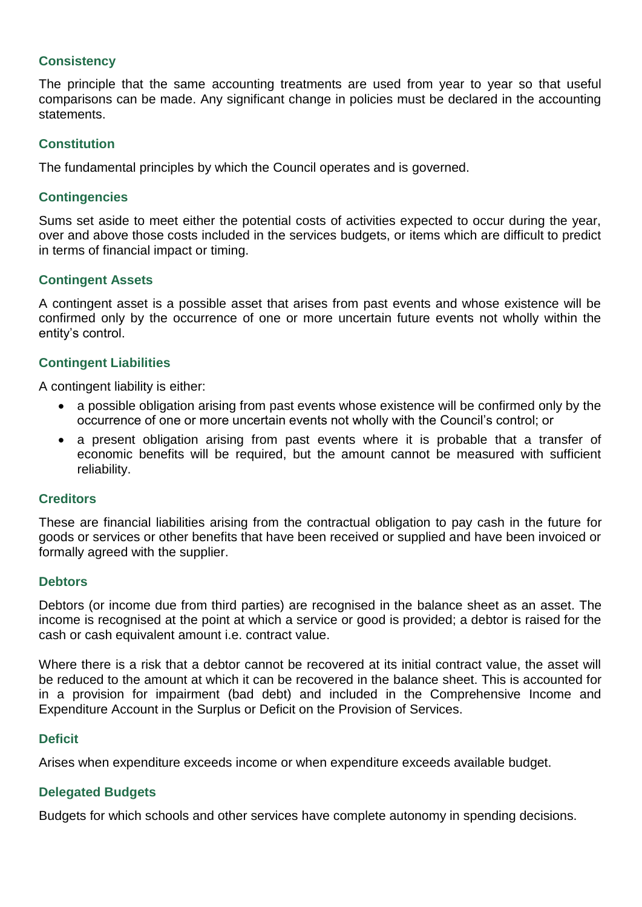## **Consistency**

The principle that the same accounting treatments are used from year to year so that useful comparisons can be made. Any significant change in policies must be declared in the accounting statements.

# **Constitution**

The fundamental principles by which the Council operates and is governed.

## **Contingencies**

Sums set aside to meet either the potential costs of activities expected to occur during the year, over and above those costs included in the services budgets, or items which are difficult to predict in terms of financial impact or timing.

# **Contingent Assets**

A contingent asset is a possible asset that arises from past events and whose existence will be confirmed only by the occurrence of one or more uncertain future events not wholly within the entity's control.

# **Contingent Liabilities**

A contingent liability is either:

- a possible obligation arising from past events whose existence will be confirmed only by the occurrence of one or more uncertain events not wholly with the Council's control; or
- a present obligation arising from past events where it is probable that a transfer of economic benefits will be required, but the amount cannot be measured with sufficient reliability.

## **Creditors**

These are financial liabilities arising from the contractual obligation to pay cash in the future for goods or services or other benefits that have been received or supplied and have been invoiced or formally agreed with the supplier.

## **Debtors**

Debtors (or income due from third parties) are recognised in the balance sheet as an asset. The income is recognised at the point at which a service or good is provided; a debtor is raised for the cash or cash equivalent amount i.e. contract value.

Where there is a risk that a debtor cannot be recovered at its initial contract value, the asset will be reduced to the amount at which it can be recovered in the balance sheet. This is accounted for in a provision for impairment (bad debt) and included in the Comprehensive Income and Expenditure Account in the Surplus or Deficit on the Provision of Services.

## **Deficit**

Arises when expenditure exceeds income or when expenditure exceeds available budget.

## **Delegated Budgets**

Budgets for which schools and other services have complete autonomy in spending decisions.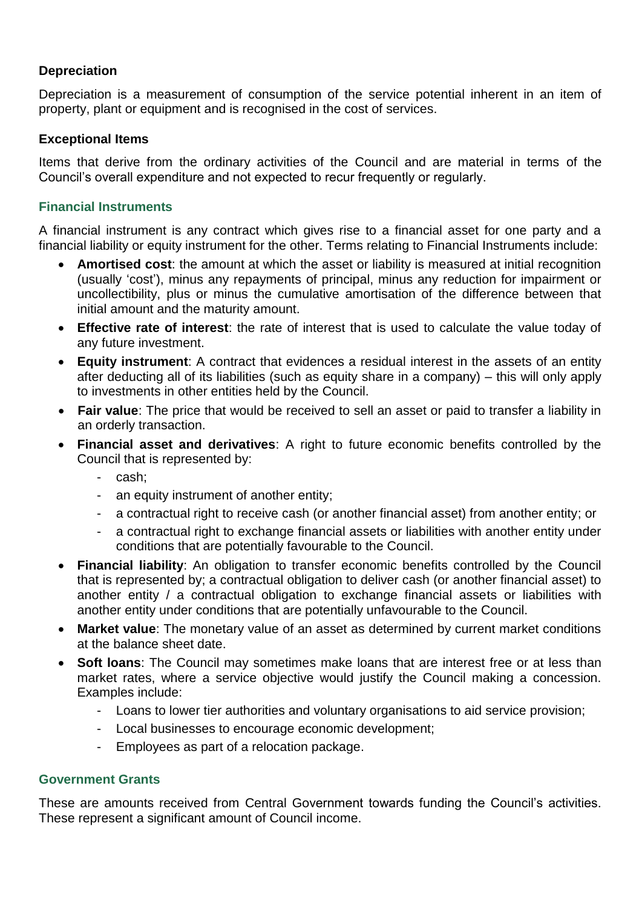## **Depreciation**

Depreciation is a measurement of consumption of the service potential inherent in an item of property, plant or equipment and is recognised in the cost of services.

# **Exceptional Items**

Items that derive from the ordinary activities of the Council and are material in terms of the Council's overall expenditure and not expected to recur frequently or regularly.

# **Financial Instruments**

A financial instrument is any contract which gives rise to a financial asset for one party and a financial liability or equity instrument for the other. Terms relating to Financial Instruments include:

- **Amortised cost**: the amount at which the asset or liability is measured at initial recognition (usually 'cost'), minus any repayments of principal, minus any reduction for impairment or uncollectibility, plus or minus the cumulative amortisation of the difference between that initial amount and the maturity amount.
- **Effective rate of interest**: the rate of interest that is used to calculate the value today of any future investment.
- **Equity instrument**: A contract that evidences a residual interest in the assets of an entity after deducting all of its liabilities (such as equity share in a company) – this will only apply to investments in other entities held by the Council.
- **Fair value**: The price that would be received to sell an asset or paid to transfer a liability in an orderly transaction.
- **Financial asset and derivatives**: A right to future economic benefits controlled by the Council that is represented by:
	- cash;
	- an equity instrument of another entity;
	- a contractual right to receive cash (or another financial asset) from another entity; or
	- a contractual right to exchange financial assets or liabilities with another entity under conditions that are potentially favourable to the Council.
- **Financial liability**: An obligation to transfer economic benefits controlled by the Council that is represented by; a contractual obligation to deliver cash (or another financial asset) to another entity / a contractual obligation to exchange financial assets or liabilities with another entity under conditions that are potentially unfavourable to the Council.
- **Market value**: The monetary value of an asset as determined by current market conditions at the balance sheet date.
- **Soft loans**: The Council may sometimes make loans that are interest free or at less than market rates, where a service objective would justify the Council making a concession. Examples include:
	- Loans to lower tier authorities and voluntary organisations to aid service provision;
	- Local businesses to encourage economic development;
	- Employees as part of a relocation package.

#### **Government Grants**

These are amounts received from Central Government towards funding the Council's activities. These represent a significant amount of Council income.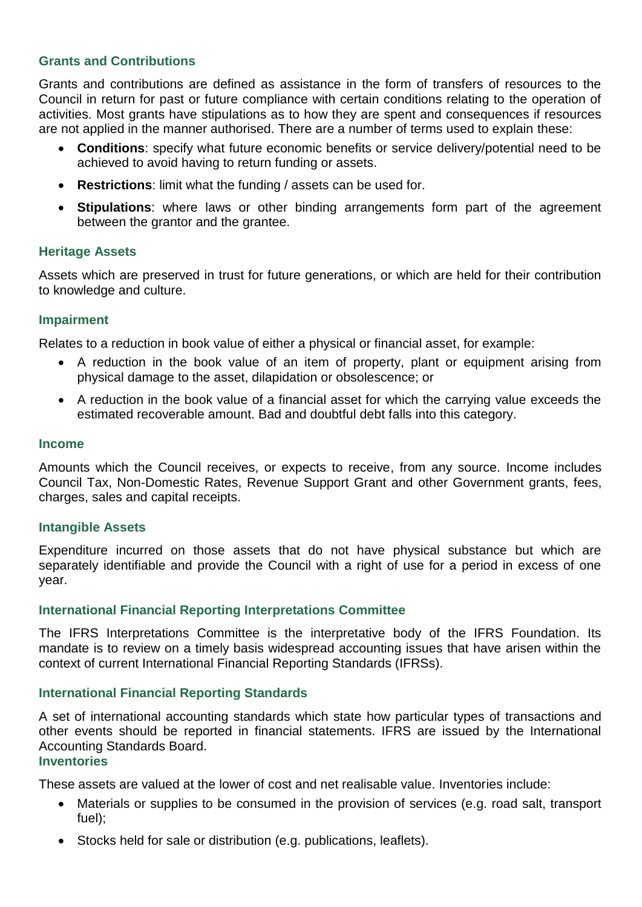# **Grants and Contributions**

Grants and contributions are defined as assistance in the form of transfers of resources to the Council in return for past or future compliance with certain conditions relating to the operation of activities. Most grants have stipulations as to how they are spent and consequences if resources are not applied in the manner authorised. There are a number of terms used to explain these:

- **Conditions**: specify what future economic benefits or service delivery/potential need to be achieved to avoid having to return funding or assets.
- **Restrictions**: limit what the funding / assets can be used for.
- **Stipulations**: where laws or other binding arrangements form part of the agreement between the grantor and the grantee.

## **Heritage Assets**

Assets which are preserved in trust for future generations, or which are held for their contribution to knowledge and culture.

## **Impairment**

Relates to a reduction in book value of either a physical or financial asset, for example:

- A reduction in the book value of an item of property, plant or equipment arising from physical damage to the asset, dilapidation or obsolescence; or
- A reduction in the book value of a financial asset for which the carrying value exceeds the estimated recoverable amount. Bad and doubtful debt falls into this category.

## **Income**

Amounts which the Council receives, or expects to receive, from any source. Income includes Council Tax, Non-Domestic Rates, Revenue Support Grant and other Government grants, fees, charges, sales and capital receipts.

#### **Intangible Assets**

Expenditure incurred on those assets that do not have physical substance but which are separately identifiable and provide the Council with a right of use for a period in excess of one year.

## **International Financial Reporting Interpretations Committee**

The IFRS Interpretations Committee is the interpretative body of the IFRS Foundation. Its mandate is to review on a timely basis widespread accounting issues that have arisen within the context of current International Financial Reporting Standards (IFRSs).

## **International Financial Reporting Standards**

A set of international accounting standards which state how particular types of transactions and other events should be reported in financial statements. IFRS are issued by the International Accounting Standards Board.

# **Inventories**

These assets are valued at the lower of cost and net realisable value. Inventories include:

- Materials or supplies to be consumed in the provision of services (e.g. road salt, transport fuel);
- Stocks held for sale or distribution (e.g. publications, leaflets).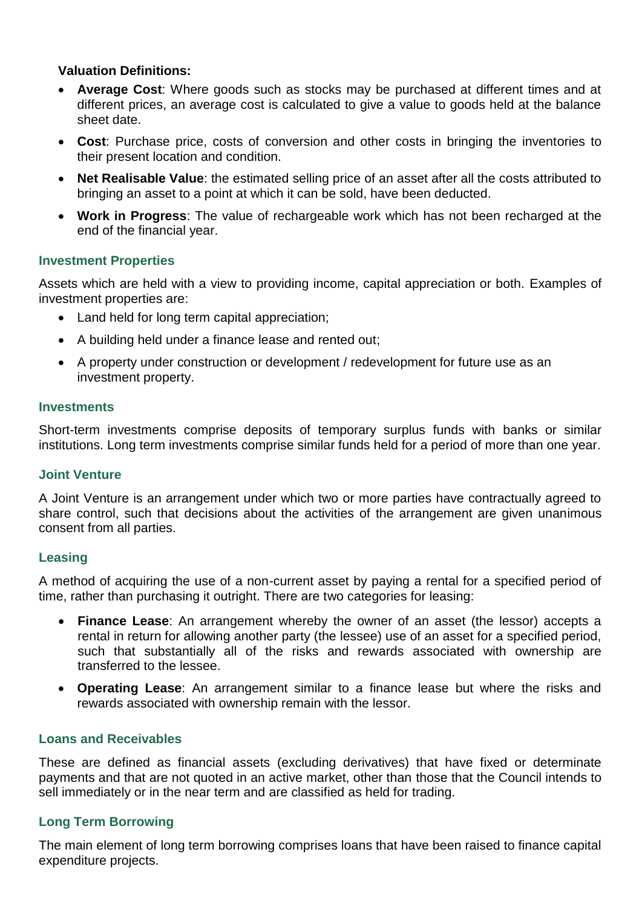# **Valuation Definitions:**

- **Average Cost**: Where goods such as stocks may be purchased at different times and at different prices, an average cost is calculated to give a value to goods held at the balance sheet date.
- **Cost**: Purchase price, costs of conversion and other costs in bringing the inventories to their present location and condition.
- **Net Realisable Value**: the estimated selling price of an asset after all the costs attributed to bringing an asset to a point at which it can be sold, have been deducted.
- **Work in Progress**: The value of rechargeable work which has not been recharged at the end of the financial year.

## **Investment Properties**

Assets which are held with a view to providing income, capital appreciation or both. Examples of investment properties are:

- Land held for long term capital appreciation;
- A building held under a finance lease and rented out;
- A property under construction or development / redevelopment for future use as an investment property.

#### **Investments**

Short-term investments comprise deposits of temporary surplus funds with banks or similar institutions. Long term investments comprise similar funds held for a period of more than one year.

#### **Joint Venture**

A Joint Venture is an arrangement under which two or more parties have contractually agreed to share control, such that decisions about the activities of the arrangement are given unanimous consent from all parties.

## **Leasing**

A method of acquiring the use of a non-current asset by paying a rental for a specified period of time, rather than purchasing it outright. There are two categories for leasing:

- **Finance Lease**: An arrangement whereby the owner of an asset (the lessor) accepts a rental in return for allowing another party (the lessee) use of an asset for a specified period, such that substantially all of the risks and rewards associated with ownership are transferred to the lessee.
- **Operating Lease**: An arrangement similar to a finance lease but where the risks and rewards associated with ownership remain with the lessor.

## **Loans and Receivables**

These are defined as financial assets (excluding derivatives) that have fixed or determinate payments and that are not quoted in an active market, other than those that the Council intends to sell immediately or in the near term and are classified as held for trading.

## **Long Term Borrowing**

The main element of long term borrowing comprises loans that have been raised to finance capital expenditure projects.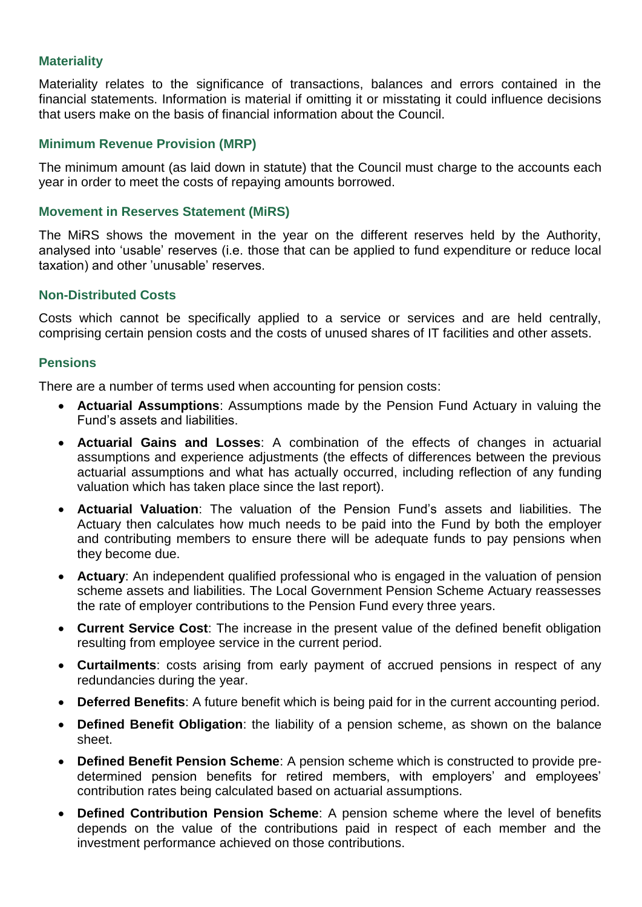# **Materiality**

Materiality relates to the significance of transactions, balances and errors contained in the financial statements. Information is material if omitting it or misstating it could influence decisions that users make on the basis of financial information about the Council.

## **Minimum Revenue Provision (MRP)**

The minimum amount (as laid down in statute) that the Council must charge to the accounts each year in order to meet the costs of repaying amounts borrowed.

## **Movement in Reserves Statement (MiRS)**

The MiRS shows the movement in the year on the different reserves held by the Authority, analysed into 'usable' reserves (i.e. those that can be applied to fund expenditure or reduce local taxation) and other 'unusable' reserves.

## **Non-Distributed Costs**

Costs which cannot be specifically applied to a service or services and are held centrally, comprising certain pension costs and the costs of unused shares of IT facilities and other assets.

#### **Pensions**

There are a number of terms used when accounting for pension costs:

- **Actuarial Assumptions**: Assumptions made by the Pension Fund Actuary in valuing the Fund's assets and liabilities.
- **Actuarial Gains and Losses**: A combination of the effects of changes in actuarial assumptions and experience adjustments (the effects of differences between the previous actuarial assumptions and what has actually occurred, including reflection of any funding valuation which has taken place since the last report).
- **Actuarial Valuation**: The valuation of the Pension Fund's assets and liabilities. The Actuary then calculates how much needs to be paid into the Fund by both the employer and contributing members to ensure there will be adequate funds to pay pensions when they become due.
- **Actuary**: An independent qualified professional who is engaged in the valuation of pension scheme assets and liabilities. The Local Government Pension Scheme Actuary reassesses the rate of employer contributions to the Pension Fund every three years.
- **Current Service Cost**: The increase in the present value of the defined benefit obligation resulting from employee service in the current period.
- **Curtailments**: costs arising from early payment of accrued pensions in respect of any redundancies during the year.
- **Deferred Benefits**: A future benefit which is being paid for in the current accounting period.
- **Defined Benefit Obligation**: the liability of a pension scheme, as shown on the balance sheet.
- **Defined Benefit Pension Scheme**: A pension scheme which is constructed to provide predetermined pension benefits for retired members, with employers' and employees' contribution rates being calculated based on actuarial assumptions.
- **Defined Contribution Pension Scheme**: A pension scheme where the level of benefits depends on the value of the contributions paid in respect of each member and the investment performance achieved on those contributions.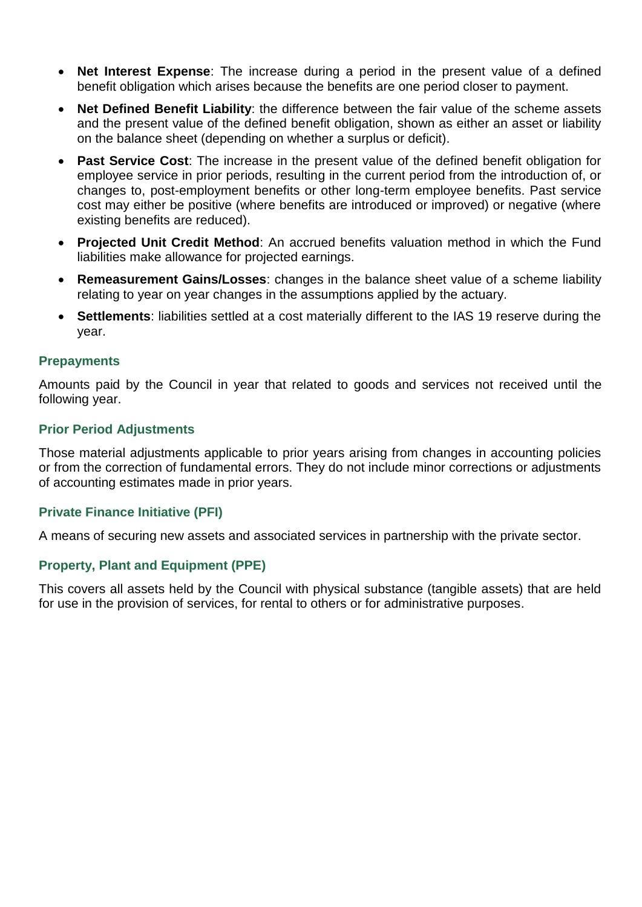- **Net Interest Expense**: The increase during a period in the present value of a defined benefit obligation which arises because the benefits are one period closer to payment.
- **Net Defined Benefit Liability**: the difference between the fair value of the scheme assets and the present value of the defined benefit obligation, shown as either an asset or liability on the balance sheet (depending on whether a surplus or deficit).
- **Past Service Cost**: The increase in the present value of the defined benefit obligation for employee service in prior periods, resulting in the current period from the introduction of, or changes to, post-employment benefits or other long-term employee benefits. Past service cost may either be positive (where benefits are introduced or improved) or negative (where existing benefits are reduced).
- **Projected Unit Credit Method**: An accrued benefits valuation method in which the Fund liabilities make allowance for projected earnings.
- **Remeasurement Gains/Losses**: changes in the balance sheet value of a scheme liability relating to year on year changes in the assumptions applied by the actuary.
- **Settlements**: liabilities settled at a cost materially different to the IAS 19 reserve during the year.

#### **Prepayments**

Amounts paid by the Council in year that related to goods and services not received until the following year.

#### **Prior Period Adjustments**

Those material adjustments applicable to prior years arising from changes in accounting policies or from the correction of fundamental errors. They do not include minor corrections or adjustments of accounting estimates made in prior years.

#### **Private Finance Initiative (PFI)**

A means of securing new assets and associated services in partnership with the private sector.

## **Property, Plant and Equipment (PPE)**

This covers all assets held by the Council with physical substance (tangible assets) that are held for use in the provision of services, for rental to others or for administrative purposes.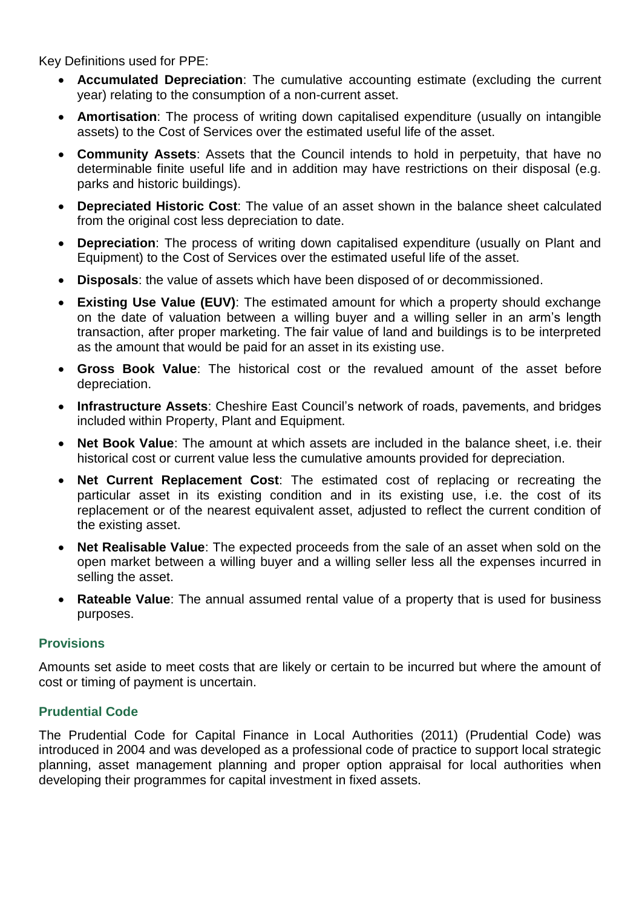Key Definitions used for PPE:

- **Accumulated Depreciation**: The cumulative accounting estimate (excluding the current year) relating to the consumption of a non-current asset.
- **Amortisation**: The process of writing down capitalised expenditure (usually on intangible assets) to the Cost of Services over the estimated useful life of the asset.
- **Community Assets**: Assets that the Council intends to hold in perpetuity, that have no determinable finite useful life and in addition may have restrictions on their disposal (e.g. parks and historic buildings).
- **Depreciated Historic Cost**: The value of an asset shown in the balance sheet calculated from the original cost less depreciation to date.
- **Depreciation**: The process of writing down capitalised expenditure (usually on Plant and Equipment) to the Cost of Services over the estimated useful life of the asset.
- **Disposals**: the value of assets which have been disposed of or decommissioned.
- **Existing Use Value (EUV)**: The estimated amount for which a property should exchange on the date of valuation between a willing buyer and a willing seller in an arm's length transaction, after proper marketing. The fair value of land and buildings is to be interpreted as the amount that would be paid for an asset in its existing use.
- **Gross Book Value**: The historical cost or the revalued amount of the asset before depreciation.
- **Infrastructure Assets**: Cheshire East Council's network of roads, pavements, and bridges included within Property, Plant and Equipment.
- **Net Book Value**: The amount at which assets are included in the balance sheet, i.e. their historical cost or current value less the cumulative amounts provided for depreciation.
- **Net Current Replacement Cost**: The estimated cost of replacing or recreating the particular asset in its existing condition and in its existing use, i.e. the cost of its replacement or of the nearest equivalent asset, adjusted to reflect the current condition of the existing asset.
- **Net Realisable Value**: The expected proceeds from the sale of an asset when sold on the open market between a willing buyer and a willing seller less all the expenses incurred in selling the asset.
- **Rateable Value**: The annual assumed rental value of a property that is used for business purposes.

## **Provisions**

Amounts set aside to meet costs that are likely or certain to be incurred but where the amount of cost or timing of payment is uncertain.

## **Prudential Code**

The Prudential Code for Capital Finance in Local Authorities (2011) (Prudential Code) was introduced in 2004 and was developed as a professional code of practice to support local strategic planning, asset management planning and proper option appraisal for local authorities when developing their programmes for capital investment in fixed assets.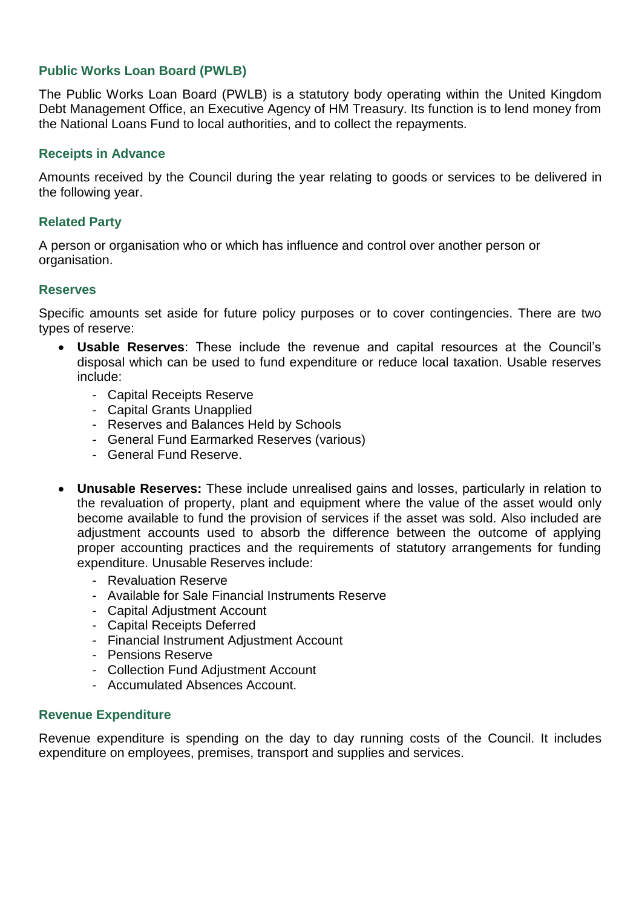# **Public Works Loan Board (PWLB)**

The Public Works Loan Board (PWLB) is a statutory body operating within the United Kingdom Debt Management Office, an Executive Agency of HM Treasury. Its function is to lend money from the National Loans Fund to local authorities, and to collect the repayments.

#### **Receipts in Advance**

Amounts received by the Council during the year relating to goods or services to be delivered in the following year.

## **Related Party**

A person or organisation who or which has influence and control over another person or organisation.

#### **Reserves**

Specific amounts set aside for future policy purposes or to cover contingencies. There are two types of reserve:

- **Usable Reserves**: These include the revenue and capital resources at the Council's disposal which can be used to fund expenditure or reduce local taxation. Usable reserves include:
	- Capital Receipts Reserve
	- Capital Grants Unapplied
	- Reserves and Balances Held by Schools
	- General Fund Earmarked Reserves (various)
	- General Fund Reserve.
- **Unusable Reserves:** These include unrealised gains and losses, particularly in relation to the revaluation of property, plant and equipment where the value of the asset would only become available to fund the provision of services if the asset was sold. Also included are adjustment accounts used to absorb the difference between the outcome of applying proper accounting practices and the requirements of statutory arrangements for funding expenditure. Unusable Reserves include:
	- Revaluation Reserve
	- Available for Sale Financial Instruments Reserve
	- Capital Adjustment Account
	- Capital Receipts Deferred
	- Financial Instrument Adjustment Account
	- Pensions Reserve
	- Collection Fund Adjustment Account
	- Accumulated Absences Account.

#### **Revenue Expenditure**

Revenue expenditure is spending on the day to day running costs of the Council. It includes expenditure on employees, premises, transport and supplies and services.